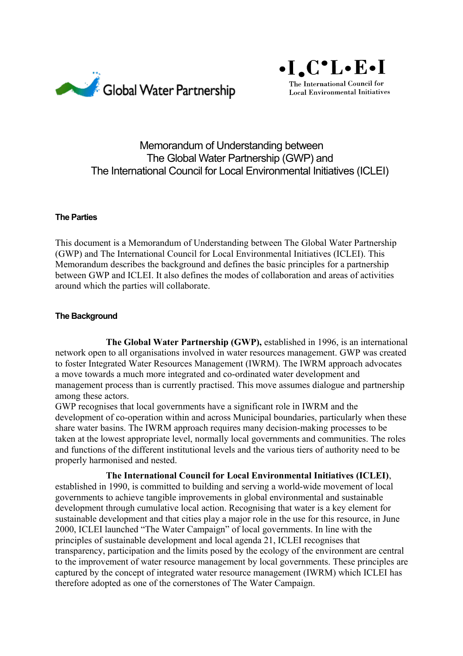



# Memorandum of Understanding between The Global Water Partnership (GWP) and The International Council for Local Environmental Initiatives (ICLEI)

### **The Parties**

This document is a Memorandum of Understanding between The Global Water Partnership (GWP) and The International Council for Local Environmental Initiatives (ICLEI). This Memorandum describes the background and defines the basic principles for a partnership between GWP and ICLEI. It also defines the modes of collaboration and areas of activities around which the parties will collaborate.

### **The Background**

**The Global Water Partnership (GWP),** established in 1996, is an international network open to all organisations involved in water resources management. GWP was created to foster Integrated Water Resources Management (IWRM). The IWRM approach advocates a move towards a much more integrated and co-ordinated water development and management process than is currently practised. This move assumes dialogue and partnership among these actors.

GWP recognises that local governments have a significant role in IWRM and the development of co-operation within and across Municipal boundaries, particularly when these share water basins. The IWRM approach requires many decision-making processes to be taken at the lowest appropriate level, normally local governments and communities. The roles and functions of the different institutional levels and the various tiers of authority need to be properly harmonised and nested.

**The International Council for Local Environmental Initiatives (ICLEI)**, established in 1990, is committed to building and serving a world-wide movement of local governments to achieve tangible improvements in global environmental and sustainable development through cumulative local action. Recognising that water is a key element for sustainable development and that cities play a major role in the use for this resource, in June 2000, ICLEI launched "The Water Campaign" of local governments. In line with the principles of sustainable development and local agenda 21, ICLEI recognises that transparency, participation and the limits posed by the ecology of the environment are central to the improvement of water resource management by local governments. These principles are captured by the concept of integrated water resource management (IWRM) which ICLEI has therefore adopted as one of the cornerstones of The Water Campaign.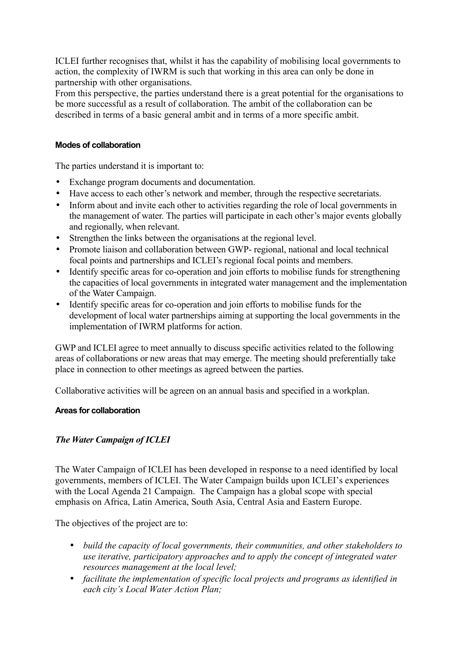ICLEI further recognises that, whilst it has the capability of mobilising local governments to action, the complexity of IWRM is such that working in this area can only be done in partnership with other organisations.

From this perspective, the parties understand there is a great potential for the organisations to be more successful as a result of collaboration. The ambit of the collaboration can be described in terms of a basic general ambit and in terms of a more specific ambit.

## **Modes of collaboration**

The parties understand it is important to:

- Exchange program documents and documentation.
- Have access to each other's network and member, through the respective secretariats.
- Inform about and invite each other to activities regarding the role of local governments in the management of water. The parties will participate in each other's major events globally and regionally, when relevant.
- Strengthen the links between the organisations at the regional level.
- Promote liaison and collaboration between GWP- regional, national and local technical focal points and partnerships and ICLEI's regional focal points and members.
- Identify specific areas for co-operation and join efforts to mobilise funds for strengthening the capacities of local governments in integrated water management and the implementation of the Water Campaign.
- Identify specific areas for co-operation and join efforts to mobilise funds for the development of local water partnerships aiming at supporting the local governments in the implementation of IWRM platforms for action.

GWP and ICLEI agree to meet annually to discuss specific activities related to the following areas of collaborations or new areas that may emerge. The meeting should preferentially take place in connection to other meetings as agreed between the parties.

Collaborative activities will be agreen on an annual basis and specified in a workplan.

#### **Areas for collaboration**

# *The Water Campaign of ICLEI*

The Water Campaign of ICLEI has been developed in response to a need identified by local governments, members of ICLEI. The Water Campaign builds upon ICLEI's experiences with the Local Agenda 21 Campaign. The Campaign has a global scope with special emphasis on Africa, Latin America, South Asia, Central Asia and Eastern Europe.

The objectives of the project are to:

- *build the capacity of local governments, their communities, and other stakeholders to use iterative, participatory approaches and to apply the concept of integrated water resources management at the local level;*
- *facilitate the implementation of specific local projects and programs as identified in each city's Local Water Action Plan;*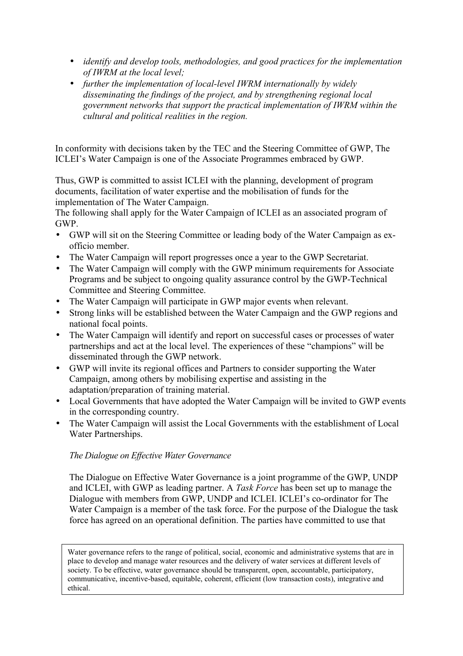- *identify and develop tools, methodologies, and good practices for the implementation of IWRM at the local level;*
- *further the implementation of local-level IWRM internationally by widely disseminating the findings of the project, and by strengthening regional local government networks that support the practical implementation of IWRM within the cultural and political realities in the region.*

In conformity with decisions taken by the TEC and the Steering Committee of GWP, The ICLEI's Water Campaign is one of the Associate Programmes embraced by GWP.

Thus, GWP is committed to assist ICLEI with the planning, development of program documents, facilitation of water expertise and the mobilisation of funds for the implementation of The Water Campaign.

The following shall apply for the Water Campaign of ICLEI as an associated program of GWP.

- GWP will sit on the Steering Committee or leading body of the Water Campaign as exofficio member.
- The Water Campaign will report progresses once a year to the GWP Secretariat.
- The Water Campaign will comply with the GWP minimum requirements for Associate Programs and be subject to ongoing quality assurance control by the GWP-Technical Committee and Steering Committee.
- The Water Campaign will participate in GWP major events when relevant.
- Strong links will be established between the Water Campaign and the GWP regions and national focal points.
- The Water Campaign will identify and report on successful cases or processes of water partnerships and act at the local level. The experiences of these "champions" will be disseminated through the GWP network.
- GWP will invite its regional offices and Partners to consider supporting the Water Campaign, among others by mobilising expertise and assisting in the adaptation/preparation of training material.
- Local Governments that have adopted the Water Campaign will be invited to GWP events in the corresponding country.
- The Water Campaign will assist the Local Governments with the establishment of Local Water Partnerships.

# *The Dialogue on Effective Water Governance*

The Dialogue on Effective Water Governance is a joint programme of the GWP, UNDP and ICLEI, with GWP as leading partner. A *Task Force* has been set up to manage the Dialogue with members from GWP, UNDP and ICLEI. ICLEI's co-ordinator for The Water Campaign is a member of the task force. For the purpose of the Dialogue the task force has agreed on an operational definition. The parties have committed to use that

Water governance refers to the range of political, social, economic and administrative systems that are in place to develop and manage water resources and the delivery of water services at different levels of society. To be effective, water governance should be transparent, open, accountable, participatory, communicative, incentive-based, equitable, coherent, efficient (low transaction costs), integrative and ethical.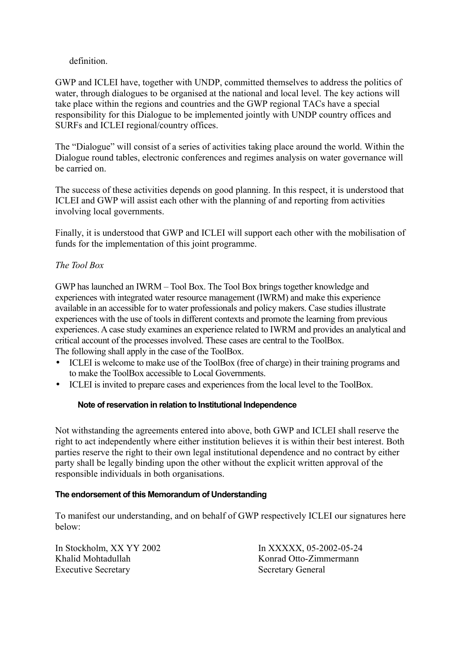# definition.

GWP and ICLEI have, together with UNDP, committed themselves to address the politics of water, through dialogues to be organised at the national and local level. The key actions will take place within the regions and countries and the GWP regional TACs have a special responsibility for this Dialogue to be implemented jointly with UNDP country offices and SURFs and ICLEI regional/country offices.

The "Dialogue" will consist of a series of activities taking place around the world. Within the Dialogue round tables, electronic conferences and regimes analysis on water governance will be carried on.

The success of these activities depends on good planning. In this respect, it is understood that ICLEI and GWP will assist each other with the planning of and reporting from activities involving local governments.

Finally, it is understood that GWP and ICLEI will support each other with the mobilisation of funds for the implementation of this joint programme.

# *The Tool Box*

GWP has launched an IWRM – Tool Box. The Tool Box brings together knowledge and experiences with integrated water resource management (IWRM) and make this experience available in an accessible for to water professionals and policy makers. Case studies illustrate experiences with the use of tools in different contexts and promote the learning from previous experiences. A case study examines an experience related to IWRM and provides an analytical and critical account of the processes involved. These cases are central to the ToolBox. The following shall apply in the case of the ToolBox.

- ICLEI is welcome to make use of the ToolBox (free of charge) in their training programs and to make the ToolBox accessible to Local Governments.
- ICLEI is invited to prepare cases and experiences from the local level to the ToolBox.

#### **Note of reservation in relation to Institutional Independence**

Not withstanding the agreements entered into above, both GWP and ICLEI shall reserve the right to act independently where either institution believes it is within their best interest. Both parties reserve the right to their own legal institutional dependence and no contract by either party shall be legally binding upon the other without the explicit written approval of the responsible individuals in both organisations.

#### **The endorsement of this Memorandum of Understanding**

To manifest our understanding, and on behalf of GWP respectively ICLEI our signatures here below:

In Stockholm, XX YY 2002 In XXXXX, 05-2002-05-24 Khalid Mohtadullah Konrad Otto-Zimmermann Executive Secretary Secretary Secretary General